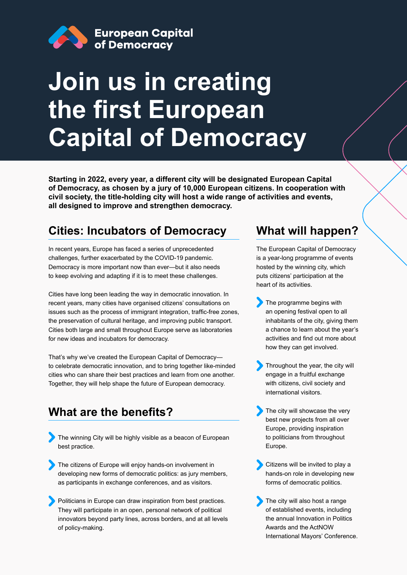

# **Join us in creating the first European Capital of Democracy**

**Starting in 2022, every year, a different city will be designated European Capital of Democracy, as chosen by a jury of 10,000 European citizens. In cooperation with civil society, the title-holding city will host a wide range of activities and events, all designed to improve and strengthen democracy.** 

### **Cities: Incubators of Democracy**

In recent years, Europe has faced a series of unprecedented challenges, further exacerbated by the COVID-19 pandemic. Democracy is more important now than ever—but it also needs to keep evolving and adapting if it is to meet these challenges.

Cities have long been leading the way in democratic innovation. In recent years, many cities have organised citizens' consultations on issues such as the process of immigrant integration, traffic-free zones, the preservation of cultural heritage, and improving public transport. Cities both large and small throughout Europe serve as laboratories for new ideas and incubators for democracy.

That's why we've created the European Capital of Democracy to celebrate democratic innovation, and to bring together like-minded cities who can share their best practices and learn from one another. Together, they will help shape the future of European democracy.

## **What are the benefits?**

- **•** The winning City will be highly visible as a beacon of European best practice.
- **–** The citizens of Europe will enjoy hands-on involvement in developing new forms of democratic politics: as jury members, as participants in exchange conferences, and as visitors.
- **–** Politicians in Europe can draw inspiration from best practices. They will participate in an open, personal network of political innovators beyond party lines, across borders, and at all levels of policy-making.

### **What will happen?**

The European Capital of Democracy is a year-long programme of events hosted by the winning city, which puts citizens' participation at the heart of its activities.

- **•** The programme begins with an opening festival open to all inhabitants of the city, giving them a chance to learn about the year's activities and find out more about how they can get involved.
- **–** Throughout the year, the city will engage in a fruitful exchange with citizens, civil society and international visitors.
- **–** The city will showcase the very best new projects from all over Europe, providing inspiration to politicians from throughout Europe.
- **–** Citizens will be invited to play a hands-on role in developing new forms of democratic politics.
- **The city will also host a range** of established events, including the annual Innovation in Politics Awards and the ActNOW International Mayors' Conference.